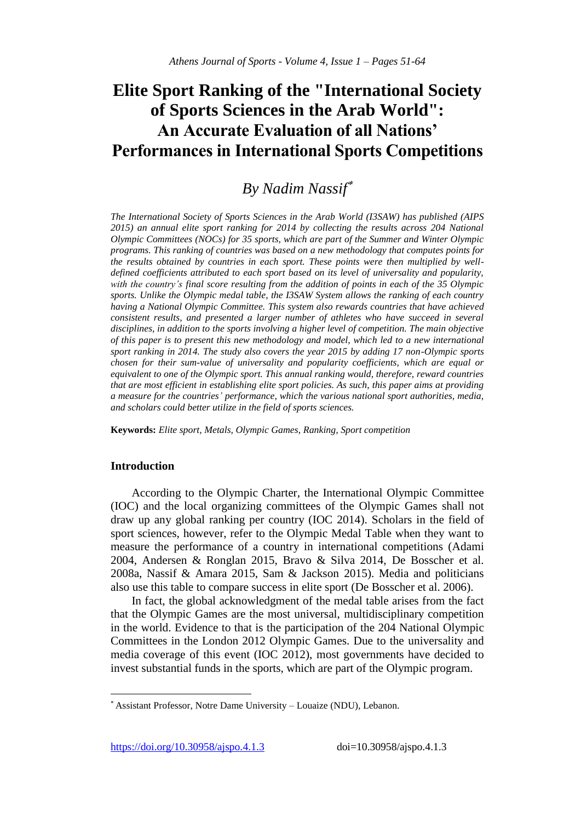# **Elite Sport Ranking of the "International Society of Sports Sciences in the Arab World": An Accurate Evaluation of all Nations' Performances in International Sports Competitions**

# *By Nadim Nassif*

*The International Society of Sports Sciences in the Arab World (I3SAW) has published (AIPS* 2015) an annual elite sport ranking for 2014 by collecting the results across 204 National *Olympic Committees (NOCs) for 35 sports, which are part of the Summer and Winter Olympic programs. This ranking of countries was based on a new methodology that computes points for the results obtained by countries in each sport. These points were then multiplied by welldefined coefficients attributed to each sport based on its level of universality and popularity, with the country's final score resulting from the addition of points in each of the 35 Olympic*  sports. Unlike the Olympic medal table, the I3SAW System allows the ranking of each country *having a National Olympic Committee. This system also rewards countries that have achieved consistent results, and presented a larger number of athletes who have succeed in several disciplines, in addition to the sports involving a higher level of competition. The main objective of this paper is to present this new methodology and model, which led to a new international sport ranking in 2014. The study also covers the year 2015 by adding 17 non-Olympic sports chosen for their sum-value of universality and popularity coefficients, which are equal or equivalent to one of the Olympic sport. This annual ranking would, therefore, reward countries that are most efficient in establishing elite sport policies. As such, this paper aims at providing a measure for the countries' performance, which the various national sport authorities, media, and scholars could better utilize in the field of sports sciences.*

**Keywords:** *Elite sport, Metals, Olympic Games, Ranking, Sport competition*

# **Introduction**

 $\overline{a}$ 

According to the Olympic Charter, the International Olympic Committee (IOC) and the local organizing committees of the Olympic Games shall not draw up any global ranking per country (IOC 2014). Scholars in the field of sport sciences, however, refer to the Olympic Medal Table when they want to measure the performance of a country in international competitions (Adami 2004, Andersen & Ronglan 2015, Bravo & Silva 2014, De Bosscher et al. 2008a, Nassif & Amara 2015, Sam & Jackson 2015). Media and politicians also use this table to compare success in elite sport (De Bosscher et al. 2006).

In fact, the global acknowledgment of the medal table arises from the fact that the Olympic Games are the most universal, multidisciplinary competition in the world. Evidence to that is the participation of the 204 National Olympic Committees in the London 2012 Olympic Games. Due to the universality and media coverage of this event (IOC 2012), most governments have decided to invest substantial funds in the sports, which are part of the Olympic program.

https://doi.org/10.30958/ajspo.4.1.3 doi=10.30958/ajspo.4.1.3

Assistant Professor, Notre Dame University – Louaize (NDU), Lebanon.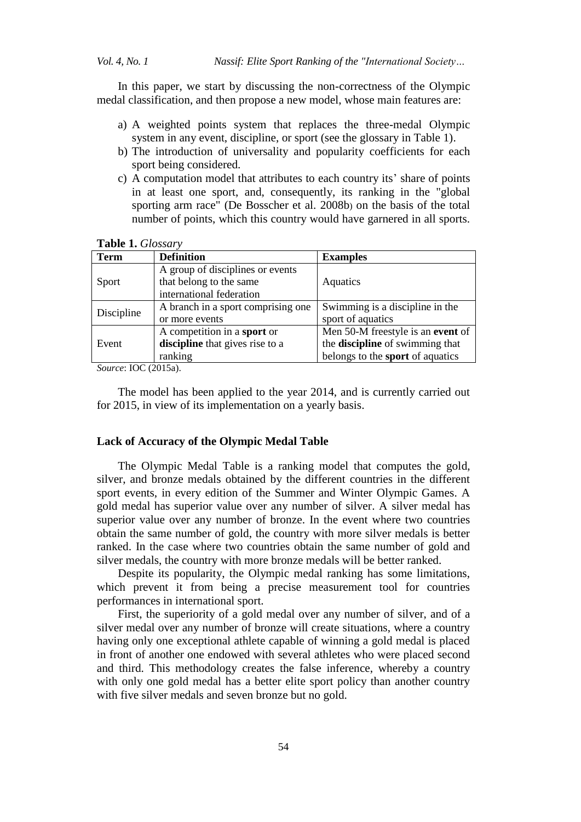In this paper, we start by discussing the non-correctness of the Olympic medal classification, and then propose a new model, whose main features are:

- a) A weighted points system that replaces the three-medal Olympic system in any event, discipline, or sport (see the glossary in Table 1).
- b) The introduction of universality and popularity coefficients for each sport being considered.
- c) A computation model that attributes to each country its' share of points in at least one sport, and, consequently, its ranking in the "global sporting arm race" (De Bosscher et al. 2008b) on the basis of the total number of points, which this country would have garnered in all sports.

#### **Table 1.** *Glossary*

| <b>Term</b> | <b>Definition</b>                  | <b>Examples</b>                   |
|-------------|------------------------------------|-----------------------------------|
|             | A group of disciplines or events   |                                   |
| Sport       | that belong to the same            | Aquatics                          |
|             | international federation           |                                   |
| Discipline  | A branch in a sport comprising one | Swimming is a discipline in the   |
|             | or more events                     | sport of aquatics                 |
|             | A competition in a sport or        | Men 50-M freestyle is an event of |
| Event       | discipline that gives rise to a    | the discipline of swimming that   |
|             | ranking                            | belongs to the sport of aquatics  |

*Source*: IOC (2015a).

The model has been applied to the year 2014, and is currently carried out for 2015, in view of its implementation on a yearly basis.

#### **Lack of Accuracy of the Olympic Medal Table**

The Olympic Medal Table is a ranking model that computes the gold, silver, and bronze medals obtained by the different countries in the different sport events, in every edition of the Summer and Winter Olympic Games. A gold medal has superior value over any number of silver. A silver medal has superior value over any number of bronze. In the event where two countries obtain the same number of gold, the country with more silver medals is better ranked. In the case where two countries obtain the same number of gold and silver medals, the country with more bronze medals will be better ranked.

Despite its popularity, the Olympic medal ranking has some limitations, which prevent it from being a precise measurement tool for countries performances in international sport.

First, the superiority of a gold medal over any number of silver, and of a silver medal over any number of bronze will create situations, where a country having only one exceptional athlete capable of winning a gold medal is placed in front of another one endowed with several athletes who were placed second and third. This methodology creates the false inference, whereby a country with only one gold medal has a better elite sport policy than another country with five silver medals and seven bronze but no gold.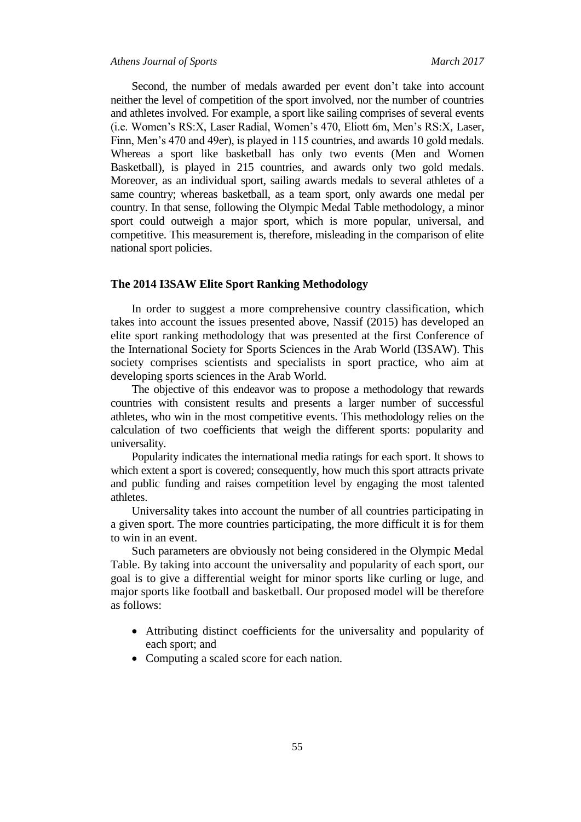#### *Athens Journal of Sports March 2017*

Second, the number of medals awarded per event don't take into account neither the level of competition of the sport involved, nor the number of countries and athletes involved. For example, a sport like sailing comprises of several events (i.e. Women's RS:X, Laser Radial, Women's 470, Eliott 6m, Men's RS:X, Laser, Finn, Men's 470 and 49er), is played in 115 countries, and awards 10 gold medals. Whereas a sport like basketball has only two events (Men and Women Basketball), is played in 215 countries, and awards only two gold medals. Moreover, as an individual sport, sailing awards medals to several athletes of a same country; whereas basketball, as a team sport, only awards one medal per country. In that sense, following the Olympic Medal Table methodology, a minor sport could outweigh a major sport, which is more popular, universal, and competitive. This measurement is, therefore, misleading in the comparison of elite national sport policies.

# **The 2014 I3SAW Elite Sport Ranking Methodology**

In order to suggest a more comprehensive country classification, which takes into account the issues presented above, Nassif (2015) has developed an elite sport ranking methodology that was presented at the first Conference of the International Society for Sports Sciences in the Arab World (I3SAW). This society comprises scientists and specialists in sport practice, who aim at developing sports sciences in the Arab World.

The objective of this endeavor was to propose a methodology that rewards countries with consistent results and presents a larger number of successful athletes, who win in the most competitive events. This methodology relies on the calculation of two coefficients that weigh the different sports: popularity and universality.

Popularity indicates the international media ratings for each sport. It shows to which extent a sport is covered; consequently, how much this sport attracts private and public funding and raises competition level by engaging the most talented athletes.

Universality takes into account the number of all countries participating in a given sport. The more countries participating, the more difficult it is for them to win in an event.

Such parameters are obviously not being considered in the Olympic Medal Table. By taking into account the universality and popularity of each sport, our goal is to give a differential weight for minor sports like curling or luge, and major sports like football and basketball. Our proposed model will be therefore as follows:

- Attributing distinct coefficients for the universality and popularity of each sport; and
- Computing a scaled score for each nation.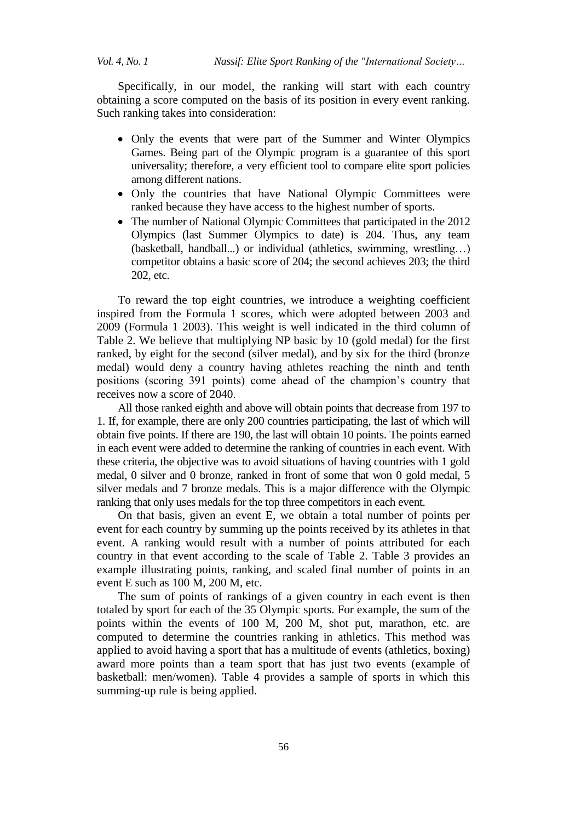Specifically, in our model, the ranking will start with each country obtaining a score computed on the basis of its position in every event ranking. Such ranking takes into consideration:

- Only the events that were part of the Summer and Winter Olympics Games. Being part of the Olympic program is a guarantee of this sport universality; therefore, a very efficient tool to compare elite sport policies among different nations.
- Only the countries that have National Olympic Committees were ranked because they have access to the highest number of sports.
- The number of National Olympic Committees that participated in the 2012 Olympics (last Summer Olympics to date) is 204. Thus, any team (basketball, handball...) or individual (athletics, swimming, wrestling…) competitor obtains a basic score of 204; the second achieves 203; the third 202, etc.

To reward the top eight countries, we introduce a weighting coefficient inspired from the Formula 1 scores, which were adopted between 2003 and 2009 (Formula 1 2003). This weight is well indicated in the third column of Table 2. We believe that multiplying NP basic by 10 (gold medal) for the first ranked, by eight for the second (silver medal), and by six for the third (bronze medal) would deny a country having athletes reaching the ninth and tenth positions (scoring 391 points) come ahead of the champion's country that receives now a score of 2040.

All those ranked eighth and above will obtain points that decrease from 197 to 1. If, for example, there are only 200 countries participating, the last of which will obtain five points. If there are 190, the last will obtain 10 points. The points earned in each event were added to determine the ranking of countries in each event. With these criteria, the objective was to avoid situations of having countries with 1 gold medal, 0 silver and 0 bronze, ranked in front of some that won 0 gold medal, 5 silver medals and 7 bronze medals. This is a major difference with the Olympic ranking that only uses medals for the top three competitors in each event.

On that basis, given an event E, we obtain a total number of points per event for each country by summing up the points received by its athletes in that event. A ranking would result with a number of points attributed for each country in that event according to the scale of Table 2. Table 3 provides an example illustrating points, ranking, and scaled final number of points in an event E such as 100 M, 200 M, etc.

The sum of points of rankings of a given country in each event is then totaled by sport for each of the 35 Olympic sports. For example, the sum of the points within the events of 100 M, 200 M, shot put, marathon, etc. are computed to determine the countries ranking in athletics. This method was applied to avoid having a sport that has a multitude of events (athletics, boxing) award more points than a team sport that has just two events (example of basketball: men/women). Table 4 provides a sample of sports in which this summing-up rule is being applied.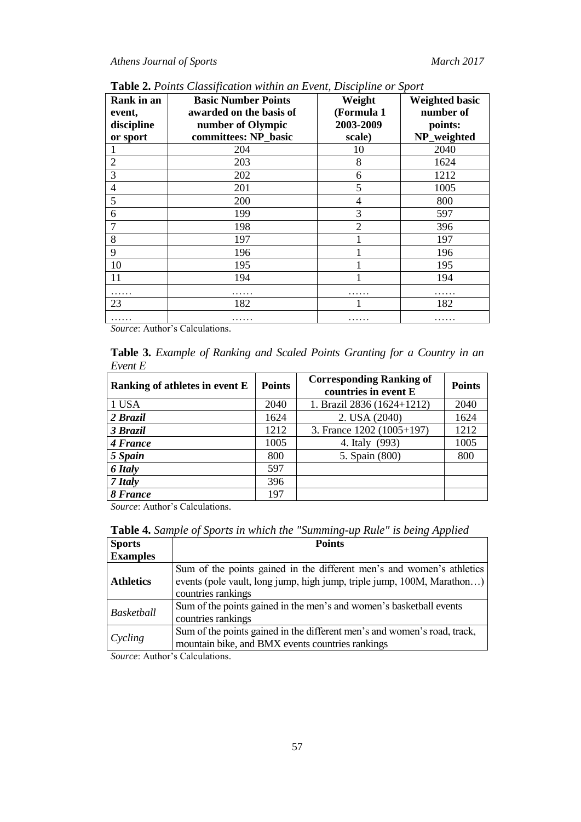| Rank in an     | <b>Basic Number Points</b> | Weight         | <b>Weighted basic</b> |
|----------------|----------------------------|----------------|-----------------------|
| event,         | awarded on the basis of    | (Formula 1     | number of             |
| discipline     | number of Olympic          | 2003-2009      | points:               |
| or sport       | committees: NP_basic       | scale)         | NP_weighted           |
|                | 204                        | 10             | 2040                  |
| $\overline{2}$ | 203                        | 8              | 1624                  |
| 3              | 202                        | 6              | 1212                  |
| 4              | 201                        | 5              | 1005                  |
| 5              | 200                        | 4              | 800                   |
| 6              | 199                        | 3              | 597                   |
|                | 198                        | $\overline{2}$ | 396                   |
| 8              | 197                        |                | 197                   |
| 9              | 196                        |                | 196                   |
| 10             | 195                        |                | 195                   |
| 11             | 194                        |                | 194                   |
|                |                            |                |                       |
| 23             | 182                        |                | 182                   |
| .              | .                          |                | .                     |

**Table 2.** *Points Classification within an Event, Discipline or Sport*

*Source*: Author's Calculations.

**Table 3.** *Example of Ranking and Scaled Points Granting for a Country in an Event E*

| Ranking of athletes in event E | <b>Points</b> | <b>Corresponding Ranking of</b><br>countries in event E | <b>Points</b> |
|--------------------------------|---------------|---------------------------------------------------------|---------------|
| 1 USA                          | 2040          | 1. Brazil 2836 (1624+1212)                              | 2040          |
| 2 Brazil                       | 1624          | 2. USA (2040)                                           | 1624          |
| 3 Brazil                       | 1212          | 3. France 1202 (1005+197)                               | 1212          |
| 4 France                       | 1005          | 4. Italy (993)                                          | 1005          |
| 5 Spain                        | 800           | 5. Spain (800)                                          | 800           |
| <b>6 Italy</b>                 | 597           |                                                         |               |
| 7 Italy                        | 396           |                                                         |               |
| 8 France                       | 197           |                                                         |               |

*Source*: Author's Calculations.

**Table 4.** *Sample of Sports in which the "Summing-up Rule" is being Applied*

| <b>Sports</b>    | <b>Points</b>                                                            |  |
|------------------|--------------------------------------------------------------------------|--|
| <b>Examples</b>  |                                                                          |  |
|                  | Sum of the points gained in the different men's and women's athletics    |  |
| <b>Athletics</b> | events (pole vault, long jump, high jump, triple jump, 100M, Marathon)   |  |
|                  | countries rankings                                                       |  |
| Basketball       | Sum of the points gained in the men's and women's basketball events      |  |
|                  | countries rankings                                                       |  |
|                  | Sum of the points gained in the different men's and women's road, track, |  |
| Cycling          | mountain bike, and BMX events countries rankings                         |  |

*Source*: Author's Calculations.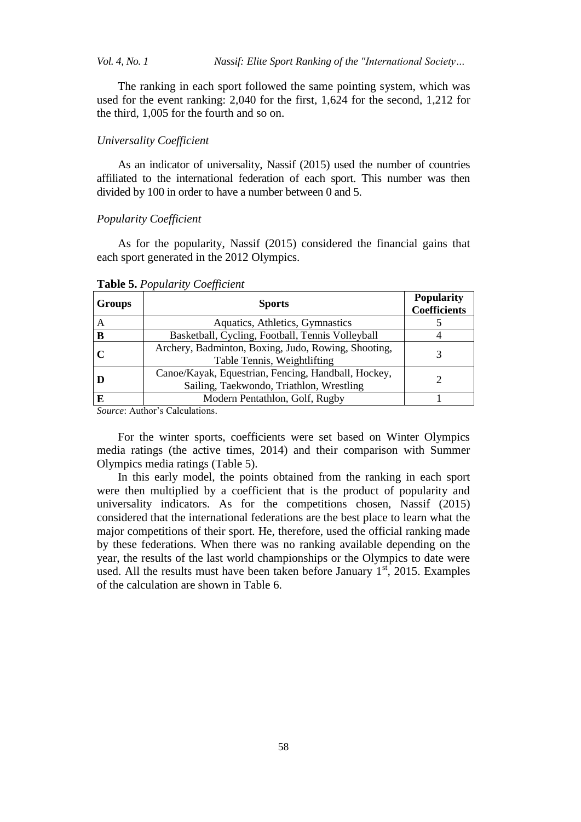*Vol. 4, No. 1 Nassif: Elite Sport Ranking of the "International Society…*

The ranking in each sport followed the same pointing system, which was used for the event ranking: 2,040 for the first, 1,624 for the second, 1,212 for the third, 1,005 for the fourth and so on.

## *Universality Coefficient*

As an indicator of universality, Nassif (2015) used the number of countries affiliated to the international federation of each sport. This number was then divided by 100 in order to have a number between 0 and 5.

# *Popularity Coefficient*

As for the popularity, Nassif (2015) considered the financial gains that each sport generated in the 2012 Olympics.

| <b>Groups</b> | <b>Sports</b>                                                                                   | <b>Popularity</b><br><b>Coefficients</b> |
|---------------|-------------------------------------------------------------------------------------------------|------------------------------------------|
|               | Aquatics, Athletics, Gymnastics                                                                 |                                          |
| B             | Basketball, Cycling, Football, Tennis Volleyball                                                |                                          |
|               | Archery, Badminton, Boxing, Judo, Rowing, Shooting,<br>Table Tennis, Weightlifting              |                                          |
|               | Canoe/Kayak, Equestrian, Fencing, Handball, Hockey,<br>Sailing, Taekwondo, Triathlon, Wrestling |                                          |
| E             | Modern Pentathlon, Golf, Rugby                                                                  |                                          |

**Table 5.** *Popularity Coefficient*

*Source*: Author's Calculations.

For the winter sports, coefficients were set based on Winter Olympics media ratings (the active times, 2014) and their comparison with Summer Olympics media ratings (Table 5).

In this early model, the points obtained from the ranking in each sport were then multiplied by a coefficient that is the product of popularity and universality indicators. As for the competitions chosen, Nassif (2015) considered that the international federations are the best place to learn what the major competitions of their sport. He, therefore, used the official ranking made by these federations. When there was no ranking available depending on the year, the results of the last world championships or the Olympics to date were used. All the results must have been taken before January  $1<sup>st</sup>$ , 2015. Examples of the calculation are shown in Table 6.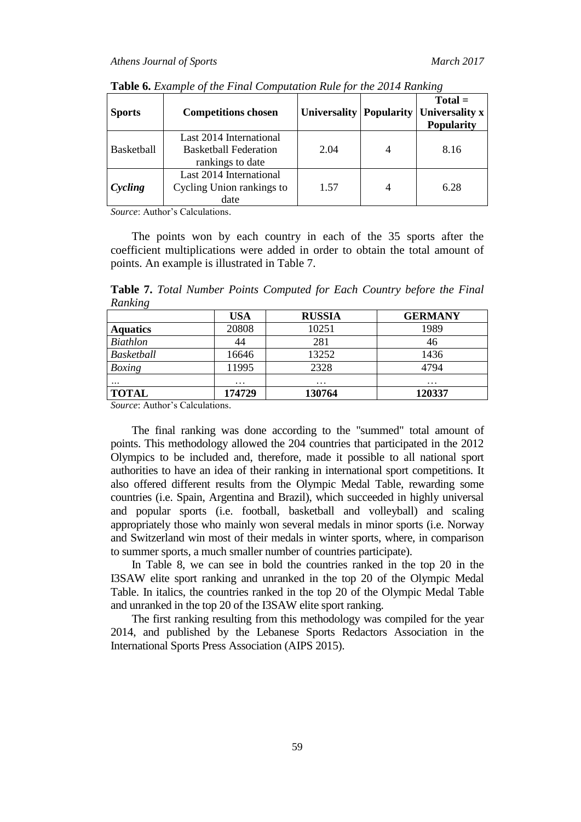| <b>Sports</b>     | <b>Competitions chosen</b>                                                  |      | $Total =$<br>Universality   Popularity   Universality x<br><b>Popularity</b> |
|-------------------|-----------------------------------------------------------------------------|------|------------------------------------------------------------------------------|
| <b>Basketball</b> | Last 2014 International<br><b>Basketball Federation</b><br>rankings to date | 2.04 | 8.16                                                                         |
| Cycling           | Last 2014 International<br>Cycling Union rankings to<br>date                | 1.57 | 6.28                                                                         |

**Table 6.** *Example of the Final Computation Rule for the 2014 Ranking*

*Source*: Author's Calculations.

The points won by each country in each of the 35 sports after the coefficient multiplications were added in order to obtain the total amount of points. An example is illustrated in Table 7.

**Table 7.** *Total Number Points Computed for Each Country before the Final Ranking* 

| <b>USA</b> | <b>RUSSIA</b> | <b>GERMANY</b> |
|------------|---------------|----------------|
| 20808      | 10251         | 1989           |
| 44         | 281           | 46             |
| 16646      | 13252         | 1436           |
| 11995      | 2328          | 4794           |
| $\cdots$   | $\cdots$      | $\cdots$       |
| 174729     | 130764        | 120337         |
|            |               |                |

*Source*: Author's Calculations.

The final ranking was done according to the "summed" total amount of points. This methodology allowed the 204 countries that participated in the 2012 Olympics to be included and, therefore, made it possible to all national sport authorities to have an idea of their ranking in international sport competitions. It also offered different results from the Olympic Medal Table, rewarding some countries (i.e. Spain, Argentina and Brazil), which succeeded in highly universal and popular sports (i.e. football, basketball and volleyball) and scaling appropriately those who mainly won several medals in minor sports (i.e. Norway and Switzerland win most of their medals in winter sports, where, in comparison to summer sports, a much smaller number of countries participate).

In Table 8, we can see in bold the countries ranked in the top 20 in the I3SAW elite sport ranking and unranked in the top 20 of the Olympic Medal Table. In italics, the countries ranked in the top 20 of the Olympic Medal Table and unranked in the top 20 of the I3SAW elite sport ranking.

The first ranking resulting from this methodology was compiled for the year 2014, and published by the Lebanese Sports Redactors Association in the International Sports Press Association (AIPS 2015).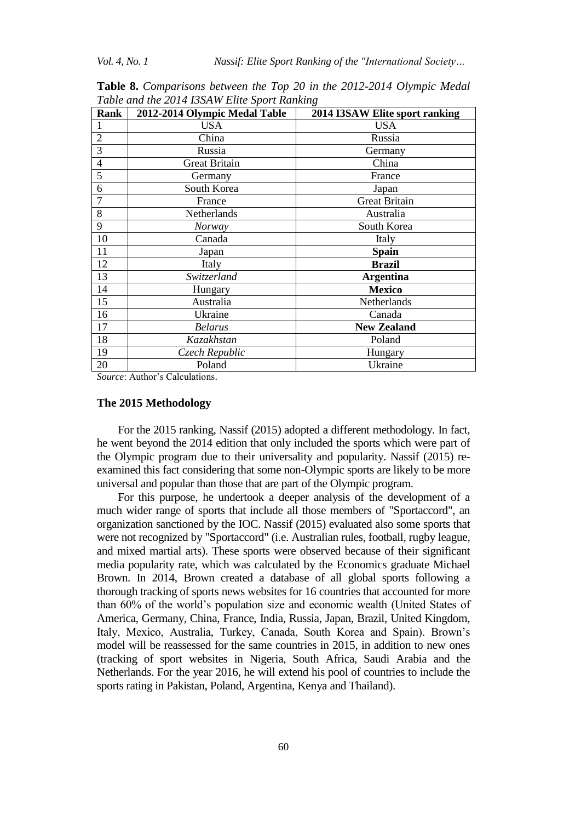| Rank           | 2012-2014 Olympic Medal Table | 2014 I3SAW Elite sport ranking |
|----------------|-------------------------------|--------------------------------|
| l              | <b>USA</b>                    | <b>USA</b>                     |
| $\overline{2}$ | China                         | Russia                         |
| 3              | Russia                        | Germany                        |
| $\overline{4}$ | <b>Great Britain</b>          | China                          |
| 5              | Germany                       | France                         |
| 6              | South Korea                   | Japan                          |
| $\overline{7}$ | France                        | <b>Great Britain</b>           |
| 8              | <b>Netherlands</b>            | Australia                      |
| 9              | Norway                        | South Korea                    |
| 10             | Canada                        | Italy                          |
| 11             | Japan                         | Spain                          |
| 12             | Italy                         | <b>Brazil</b>                  |
| 13             | Switzerland                   | <b>Argentina</b>               |
| 14             | Hungary                       | <b>Mexico</b>                  |
| 15             | Australia                     | Netherlands                    |
| 16             | Ukraine                       | Canada                         |
| 17             | <b>Belarus</b>                | <b>New Zealand</b>             |
| 18             | Kazakhstan                    | Poland                         |
| 19             | Czech Republic                | Hungary                        |
| 20             | Poland                        | Ukraine                        |

**Table 8.** *Comparisons between the Top 20 in the 2012-2014 Olympic Medal Table and the 2014 I3SAW Elite Sport Ranking*

*Source*: Author's Calculations.

#### **The 2015 Methodology**

For the 2015 ranking, Nassif (2015) adopted a different methodology. In fact, he went beyond the 2014 edition that only included the sports which were part of the Olympic program due to their universality and popularity. Nassif (2015) reexamined this fact considering that some non-Olympic sports are likely to be more universal and popular than those that are part of the Olympic program.

For this purpose, he undertook a deeper analysis of the development of a much wider range of sports that include all those members of "Sportaccord", an organization sanctioned by the IOC. Nassif (2015) evaluated also some sports that were not recognized by "Sportaccord" (i.e. Australian rules, football, rugby league, and mixed martial arts). These sports were observed because of their significant media popularity rate, which was calculated by the Economics graduate Michael Brown. In 2014, Brown created a database of all global sports following a thorough tracking of sports news websites for 16 countries that accounted for more than 60% of the world's population size and economic wealth (United States of America, Germany, China, France, India, Russia, Japan, Brazil, United Kingdom, Italy, Mexico, Australia, Turkey, Canada, South Korea and Spain). Brown's model will be reassessed for the same countries in 2015, in addition to new ones (tracking of sport websites in Nigeria, South Africa, Saudi Arabia and the Netherlands. For the year 2016, he will extend his pool of countries to include the sports rating in Pakistan, Poland, Argentina, Kenya and Thailand).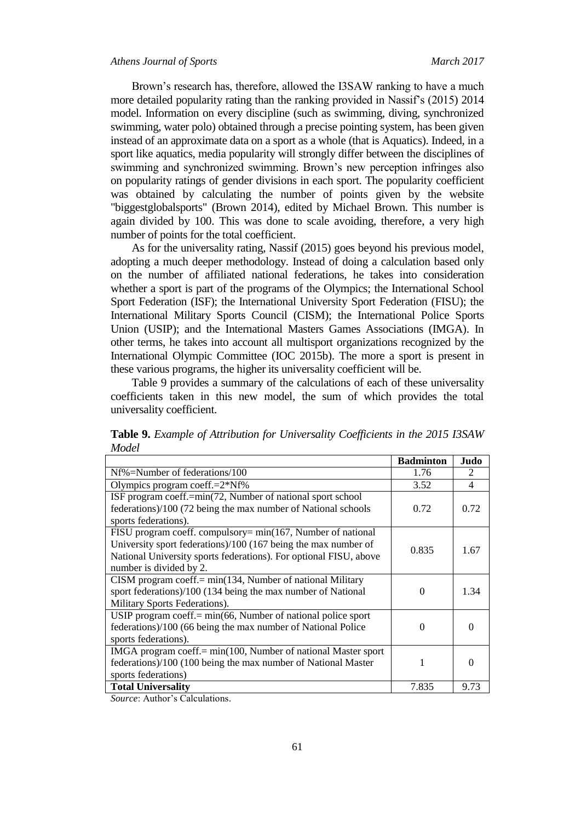Brown's research has, therefore, allowed the I3SAW ranking to have a much more detailed popularity rating than the ranking provided in Nassif's (2015) 2014 model. Information on every discipline (such as swimming, diving, synchronized swimming, water polo) obtained through a precise pointing system, has been given instead of an approximate data on a sport as a whole (that is Aquatics). Indeed, in a sport like aquatics, media popularity will strongly differ between the disciplines of swimming and synchronized swimming. Brown's new perception infringes also on popularity ratings of gender divisions in each sport. The popularity coefficient was obtained by calculating the number of points given by the website "biggestglobalsports" (Brown 2014), edited by Michael Brown. This number is again divided by 100. This was done to scale avoiding, therefore, a very high number of points for the total coefficient.

As for the universality rating, Nassif (2015) goes beyond his previous model, adopting a much deeper methodology. Instead of doing a calculation based only on the number of affiliated national federations, he takes into consideration whether a sport is part of the programs of the Olympics; the International School Sport Federation (ISF); the International University Sport Federation (FISU); the International Military Sports Council (CISM); the International Police Sports Union (USIP); and the International Masters Games Associations (IMGA). In other terms, he takes into account all multisport organizations recognized by the International Olympic Committee (IOC 2015b). The more a sport is present in these various programs, the higher its universality coefficient will be.

Table 9 provides a summary of the calculations of each of these universality coefficients taken in this new model, the sum of which provides the total universality coefficient.

| Table 9. Example of Attribution for Universality Coefficients in the 2015 I3SAW |  |  |
|---------------------------------------------------------------------------------|--|--|
| <b>Model</b>                                                                    |  |  |
|                                                                                 |  |  |

|                                                                   | <b>Badminton</b> | Judo                        |
|-------------------------------------------------------------------|------------------|-----------------------------|
| Nf%=Number of federations/100                                     | 1.76             | $\mathcal{D}_{\mathcal{L}}$ |
| Olympics program coeff. $=2*Nf\%$                                 | 3.52             | 4                           |
| ISF program coeff.=min(72, Number of national sport school        |                  |                             |
| federations)/100 (72 being the max number of National schools     | 0.72             | 0.72                        |
| sports federations).                                              |                  |                             |
| FISU program coeff. compulsory= min(167, Number of national       |                  |                             |
| University sport federations)/100 (167 being the max number of    | 0.835            | 1.67                        |
| National University sports federations). For optional FISU, above |                  |                             |
| number is divided by 2.                                           |                  |                             |
| CISM program coeff.= min(134, Number of national Military         |                  |                             |
| sport federations)/100 (134 being the max number of National      | 0                | 1.34                        |
| Military Sports Federations).                                     |                  |                             |
| USIP program coeff. $= min(66, Number of national police sport)$  |                  |                             |
| federations)/100 (66 being the max number of National Police      | 0                |                             |
| sports federations).                                              |                  |                             |
| IMGA program coeff.= min(100, Number of national Master sport     |                  |                             |
| federations)/100 (100 being the max number of National Master     |                  |                             |
| sports federations)                                               |                  |                             |
| <b>Total Universality</b>                                         | 7.835            | 9.73                        |

*Source*: Author's Calculations.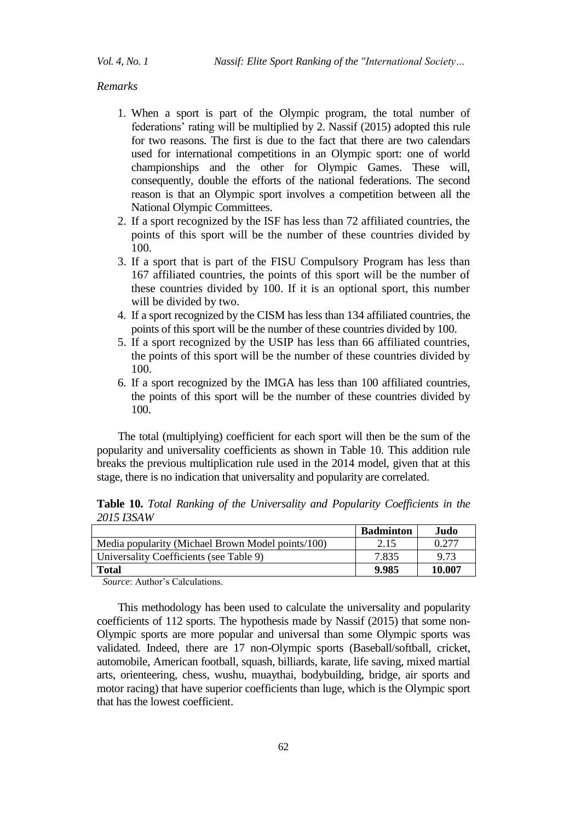#### *Remarks*

- 1. When a sport is part of the Olympic program, the total number of federations' rating will be multiplied by 2. Nassif (2015) adopted this rule for two reasons. The first is due to the fact that there are two calendars used for international competitions in an Olympic sport: one of world championships and the other for Olympic Games. These will, consequently, double the efforts of the national federations. The second reason is that an Olympic sport involves a competition between all the National Olympic Committees.
- 2. If a sport recognized by the ISF has less than 72 affiliated countries, the points of this sport will be the number of these countries divided by 100.
- 3. If a sport that is part of the FISU Compulsory Program has less than 167 affiliated countries, the points of this sport will be the number of these countries divided by 100. If it is an optional sport, this number will be divided by two.
- 4. If a sport recognized by the CISM has less than 134 affiliated countries, the points of this sport will be the number of these countries divided by 100.
- 5. If a sport recognized by the USIP has less than 66 affiliated countries, the points of this sport will be the number of these countries divided by 100.
- 6. If a sport recognized by the IMGA has less than 100 affiliated countries, the points of this sport will be the number of these countries divided by 100.

The total (multiplying) coefficient for each sport will then be the sum of the popularity and universality coefficients as shown in Table 10. This addition rule breaks the previous multiplication rule used in the 2014 model, given that at this stage, there is no indication that universality and popularity are correlated.

**Table 10.** *Total Ranking of the Universality and Popularity Coefficients in the 2015 I3SAW* 

|                                                   | <b>Badminton</b> | Judo.  |
|---------------------------------------------------|------------------|--------|
| Media popularity (Michael Brown Model points/100) | 2.15             | 0.277  |
| Universality Coefficients (see Table 9)           | 7.835            | 9.73   |
| <b>Total</b>                                      | 9.985            | 10.007 |

*Source*: Author's Calculations.

This methodology has been used to calculate the universality and popularity coefficients of 112 sports. The hypothesis made by Nassif (2015) that some non-Olympic sports are more popular and universal than some Olympic sports was validated. Indeed, there are 17 non-Olympic sports (Baseball/softball, cricket, automobile, American football, squash, billiards, karate, life saving, mixed martial arts, orienteering, chess, wushu, muaythai, bodybuilding, bridge, air sports and motor racing) that have superior coefficients than luge, which is the Olympic sport that has the lowest coefficient.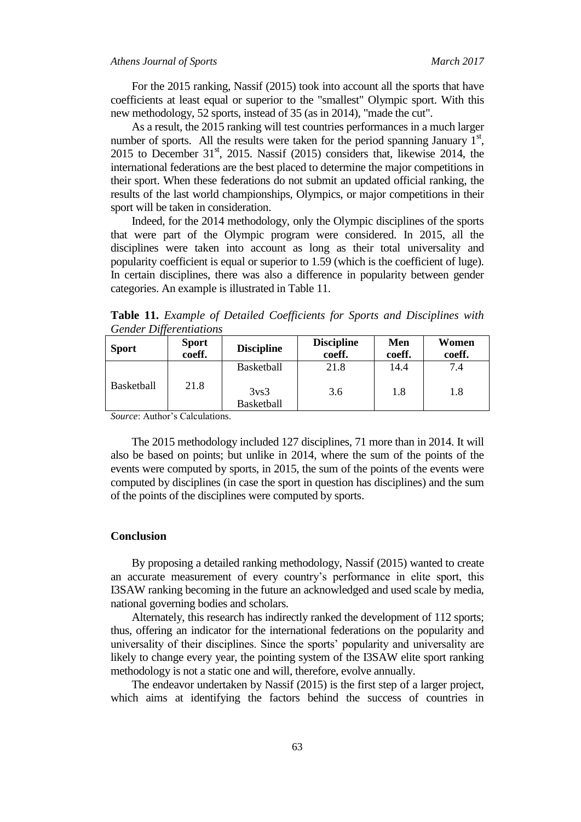For the 2015 ranking, Nassif (2015) took into account all the sports that have coefficients at least equal or superior to the "smallest" Olympic sport. With this new methodology, 52 sports, instead of 35 (as in 2014), "made the cut".

As a result, the 2015 ranking will test countries performances in a much larger number of sports. All the results were taken for the period spanning January  $1<sup>st</sup>$ , 2015 to December  $31<sup>st</sup>$ , 2015. Nassif (2015) considers that, likewise 2014, the international federations are the best placed to determine the major competitions in their sport. When these federations do not submit an updated official ranking, the results of the last world championships, Olympics, or major competitions in their sport will be taken in consideration.

Indeed, for the 2014 methodology, only the Olympic disciplines of the sports that were part of the Olympic program were considered. In 2015, all the disciplines were taken into account as long as their total universality and popularity coefficient is equal or superior to 1.59 (which is the coefficient of luge). In certain disciplines, there was also a difference in popularity between gender categories. An example is illustrated in Table 11.

**Table 11.** *Example of Detailed Coefficients for Sports and Disciplines with Gender Differentiations*

| <b>Sport</b>      | <b>Sport</b><br>coeff.                             | <b>Discipline</b> | <b>Discipline</b><br>coeff. | Men<br>coeff. | Women<br>coeff. |
|-------------------|----------------------------------------------------|-------------------|-----------------------------|---------------|-----------------|
|                   | 21.8                                               | <b>Basketball</b> | 21.8                        | 14.4          | 7.4             |
| <b>Basketball</b> | 3 <sub>vs</sub> 3<br><b>Basketball</b><br>$\sim$ 1 |                   | 3.6                         | 1.8           | 1.8             |

*Source*: Author's Calculations.

The 2015 methodology included 127 disciplines, 71 more than in 2014. It will also be based on points; but unlike in 2014, where the sum of the points of the events were computed by sports, in 2015, the sum of the points of the events were computed by disciplines (in case the sport in question has disciplines) and the sum of the points of the disciplines were computed by sports.

#### **Conclusion**

By proposing a detailed ranking methodology, Nassif (2015) wanted to create an accurate measurement of every country's performance in elite sport, this I3SAW ranking becoming in the future an acknowledged and used scale by media, national governing bodies and scholars.

Alternately, this research has indirectly ranked the development of 112 sports; thus, offering an indicator for the international federations on the popularity and universality of their disciplines. Since the sports' popularity and universality are likely to change every year, the pointing system of the I3SAW elite sport ranking methodology is not a static one and will, therefore, evolve annually.

The endeavor undertaken by Nassif (2015) is the first step of a larger project, which aims at identifying the factors behind the success of countries in